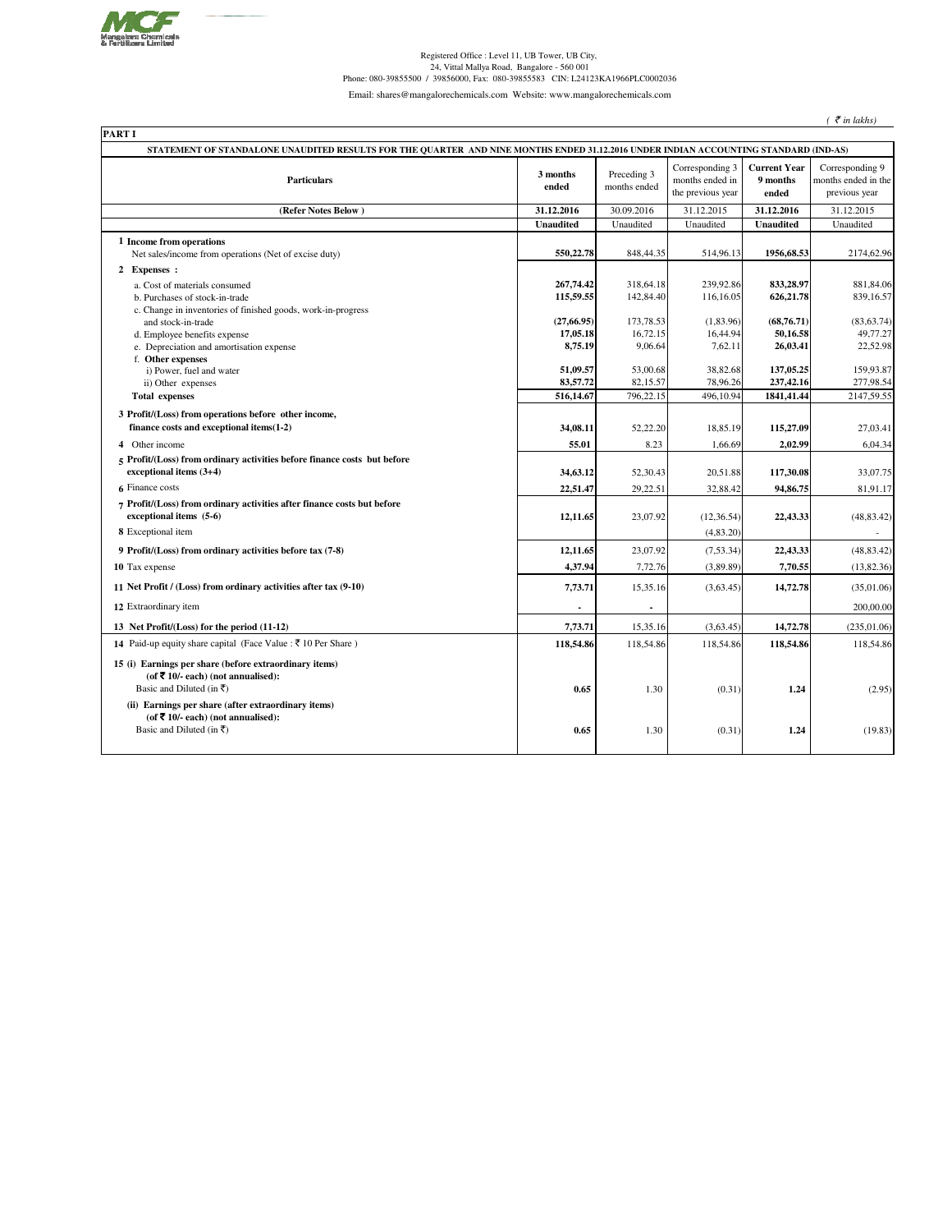

Registered Office : Level 11, UB Tower, UB City,<br>24, Vittal Mallya Road, Bangalore - 560 001<br>24, Phone: 080-39855500 / 39856000, Fax: 080-39855583 CIN: L24123KA1966PLC0002036

Email: shares@mangalorechemicals.com Website: www.mangalorechemicals.com

 $($   $\bar{\mathcal{E}}$  *in lakhs*)

| STATEMENT OF STANDALONE UNAUDITED RESULTS FOR THE QUARTER AND NINE MONTHS ENDED 31.12.2016 UNDER INDIAN ACCOUNTING STANDARD (IND-AS) |                   |                             |                                                         |                                          |                                                         |
|--------------------------------------------------------------------------------------------------------------------------------------|-------------------|-----------------------------|---------------------------------------------------------|------------------------------------------|---------------------------------------------------------|
| <b>Particulars</b>                                                                                                                   | 3 months<br>ended | Preceding 3<br>months ended | Corresponding 3<br>months ended in<br>the previous year | <b>Current Year</b><br>9 months<br>ended | Corresponding 9<br>months ended in the<br>previous year |
| (Refer Notes Below)                                                                                                                  | 31.12.2016        | 30.09.2016                  | 31.12.2015                                              | 31.12.2016                               | 31.12.2015                                              |
|                                                                                                                                      | <b>Unaudited</b>  | Unaudited                   | Unaudited                                               | <b>Unaudited</b>                         | Unaudited                                               |
| 1 Income from operations<br>Net sales/income from operations (Net of excise duty)                                                    | 550,22.78         | 848, 44. 35                 | 514,96.13                                               | 1956,68.53                               | 2174,62.96                                              |
| 2 Expenses :                                                                                                                         |                   |                             |                                                         |                                          |                                                         |
| a. Cost of materials consumed                                                                                                        | 267,74.42         | 318,64.18                   | 239,92.86                                               | 833,28.97                                | 881,84.06                                               |
| b. Purchases of stock-in-trade                                                                                                       | 115,59.55         | 142,84.40                   | 116,16.05                                               | 626,21.78                                | 839,16.57                                               |
| c. Change in inventories of finished goods, work-in-progress                                                                         | (27, 66.95)       | 173,78.53                   | (1, 83.96)                                              | (68,76.71)                               |                                                         |
| and stock-in-trade<br>d. Employee benefits expense                                                                                   | 17,05.18          | 16,72.15                    | 16,44.94                                                | 50,16.58                                 | (83, 63.74)<br>49,77.27                                 |
| e. Depreciation and amortisation expense                                                                                             | 8,75.19           | 9,06.64                     | 7,62.11                                                 | 26,03.41                                 | 22,52.98                                                |
| f. Other expenses                                                                                                                    |                   |                             |                                                         |                                          |                                                         |
| i) Power, fuel and water                                                                                                             | 51,09.57          | 53,00.68                    | 38,82.68                                                | 137,05.25                                | 159,93.87                                               |
| ii) Other expenses                                                                                                                   | 83,57.72          | 82,15.57                    | 78,96.26                                                | 237,42.16                                | 277,98.54                                               |
| <b>Total expenses</b>                                                                                                                | 516,14.67         | 796,22.15                   | 496,10.94                                               | 1841,41.44                               | 2147,59.55                                              |
| 3 Profit/(Loss) from operations before other income,                                                                                 |                   |                             |                                                         |                                          |                                                         |
| finance costs and exceptional items(1-2)                                                                                             | 34,08.11          | 52,22.20                    | 18,85.19                                                | 115,27.09                                | 27,03.41                                                |
| 4 Other income                                                                                                                       | 55.01             | 8.23                        | 1,66.69                                                 | 2,02.99                                  | 6,04.34                                                 |
| 5 Profit/(Loss) from ordinary activities before finance costs but before<br>exceptional items (3+4)                                  | 34,63.12          | 52,30.43                    | 20,51.88                                                | 117,30.08                                | 33,07.75                                                |
| 6 Finance costs                                                                                                                      | 22,51.47          | 29,22.51                    | 32,88.42                                                | 94,86.75                                 | 81,91.17                                                |
| 7 Profit/(Loss) from ordinary activities after finance costs but before<br>exceptional items $(5-6)$                                 | 12,11.65          | 23,07.92                    | (12, 36.54)                                             | 22,43.33                                 | (48, 83.42)                                             |
| 8 Exceptional item                                                                                                                   |                   |                             | (4,83.20)                                               |                                          |                                                         |
|                                                                                                                                      |                   |                             |                                                         |                                          |                                                         |
| 9 Profit/(Loss) from ordinary activities before tax (7-8)                                                                            | 12,11.65          | 23,07.92                    | (7,53.34)                                               | 22,43.33                                 | (48, 83.42)                                             |
| 10 Tax expense                                                                                                                       | 4,37.94           | 7,72.76                     | (3,89.89)                                               | 7,70.55                                  | (13,82.36)                                              |
| 11 Net Profit / (Loss) from ordinary activities after tax (9-10)                                                                     | 7,73.71           | 15,35.16                    | (3,63.45)                                               | 14,72.78                                 | (35,01.06)                                              |
| 12 Extraordinary item                                                                                                                |                   |                             |                                                         |                                          | 200,00.00                                               |
| 13 Net Profit/(Loss) for the period (11-12)                                                                                          | 7,73.71           | 15,35.16                    | (3,63.45)                                               | 14,72.78                                 | (235, 01.06)                                            |
| <b>14</b> Paid-up equity share capital (Face Value : ₹ 10 Per Share)                                                                 | 118,54.86         | 118,54.86                   | 118,54.86                                               | 118,54.86                                | 118,54.86                                               |
| 15 (i) Earnings per share (before extraordinary items)<br>(of ₹ 10/- each) (not annualised):                                         |                   |                             |                                                         |                                          |                                                         |
| Basic and Diluted (in ₹)                                                                                                             | 0.65              | 1.30                        | (0.31)                                                  | 1.24                                     | (2.95)                                                  |
| (ii) Earnings per share (after extraordinary items)<br>(of ₹ 10/- each) (not annualised):                                            |                   |                             |                                                         |                                          |                                                         |
| Basic and Diluted (in ₹)                                                                                                             | 0.65              | 1.30                        | (0.31)                                                  | 1.24                                     | (19.83)                                                 |